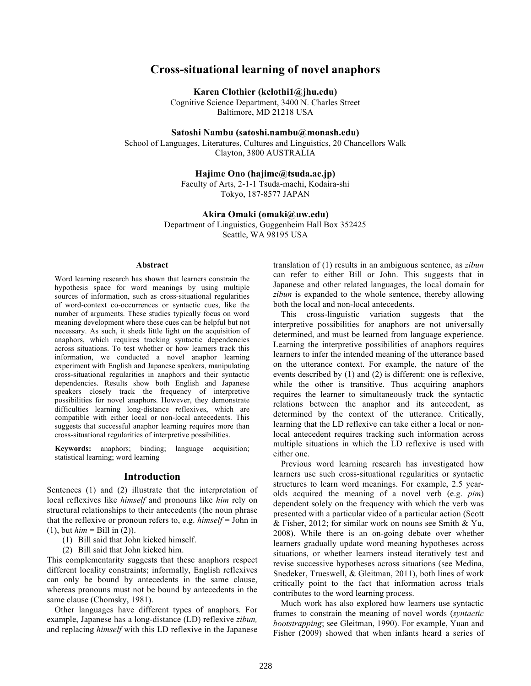# **Cross-situational learning of novel anaphors**

**Karen Clothier (kclothi1@jhu.edu)**

Cognitive Science Department, 3400 N. Charles Street Baltimore, MD 21218 USA

**Satoshi Nambu (satoshi.nambu@monash.edu)**

School of Languages, Literatures, Cultures and Linguistics, 20 Chancellors Walk Clayton, 3800 AUSTRALIA

#### **Hajime Ono (hajime@tsuda.ac.jp)**

Faculty of Arts, 2-1-1 Tsuda-machi, Kodaira-shi Tokyo, 187-8577 JAPAN

#### **Akira Omaki (omaki@uw.edu)**

Department of Linguistics, Guggenheim Hall Box 352425 Seattle, WA 98195 USA

#### **Abstract**

Word learning research has shown that learners constrain the hypothesis space for word meanings by using multiple sources of information, such as cross-situational regularities of word-context co-occurrences or syntactic cues, like the number of arguments. These studies typically focus on word meaning development where these cues can be helpful but not necessary. As such, it sheds little light on the acquisition of anaphors, which requires tracking syntactic dependencies across situations. To test whether or how learners track this information, we conducted a novel anaphor learning experiment with English and Japanese speakers, manipulating cross-situational regularities in anaphors and their syntactic dependencies. Results show both English and Japanese speakers closely track the frequency of interpretive possibilities for novel anaphors. However, they demonstrate difficulties learning long-distance reflexives, which are compatible with either local or non-local antecedents. This suggests that successful anaphor learning requires more than cross-situational regularities of interpretive possibilities.

**Keywords:** anaphors; binding; language acquisition; statistical learning; word learning

# **Introduction**

Sentences (1) and (2) illustrate that the interpretation of local reflexives like *himself* and pronouns like *him* rely on structural relationships to their antecedents (the noun phrase that the reflexive or pronoun refers to, e.g. *himself* = John in  $(1)$ , but  $him = Bill$  in  $(2)$ ).

- (1) Bill said that John kicked himself.
- (2) Bill said that John kicked him.

This complementarity suggests that these anaphors respect different locality constraints; informally, English reflexives can only be bound by antecedents in the same clause, whereas pronouns must not be bound by antecedents in the same clause (Chomsky, 1981).

Other languages have different types of anaphors. For example, Japanese has a long-distance (LD) reflexive *zibun,* and replacing *himself* with this LD reflexive in the Japanese translation of (1) results in an ambiguous sentence, as *zibun* can refer to either Bill or John. This suggests that in Japanese and other related languages, the local domain for *zibun* is expanded to the whole sentence, thereby allowing both the local and non-local antecedents.

This cross-linguistic variation suggests that the interpretive possibilities for anaphors are not universally determined, and must be learned from language experience. Learning the interpretive possibilities of anaphors requires learners to infer the intended meaning of the utterance based on the utterance context. For example, the nature of the events described by (1) and (2) is different: one is reflexive, while the other is transitive. Thus acquiring anaphors requires the learner to simultaneously track the syntactic relations between the anaphor and its antecedent, as determined by the context of the utterance. Critically, learning that the LD reflexive can take either a local or nonlocal antecedent requires tracking such information across multiple situations in which the LD reflexive is used with either one.

Previous word learning research has investigated how learners use such cross-situational regularities or syntactic structures to learn word meanings. For example, 2.5 yearolds acquired the meaning of a novel verb (e.g. *pim*) dependent solely on the frequency with which the verb was presented with a particular video of a particular action (Scott & Fisher, 2012; for similar work on nouns see Smith & Yu, 2008). While there is an on-going debate over whether learners gradually update word meaning hypotheses across situations, or whether learners instead iteratively test and revise successive hypotheses across situations (see Medina, Snedeker, Trueswell, & Gleitman, 2011), both lines of work critically point to the fact that information across trials contributes to the word learning process.

Much work has also explored how learners use syntactic frames to constrain the meaning of novel words (*syntactic bootstrapping*; see Gleitman, 1990). For example, Yuan and Fisher (2009) showed that when infants heard a series of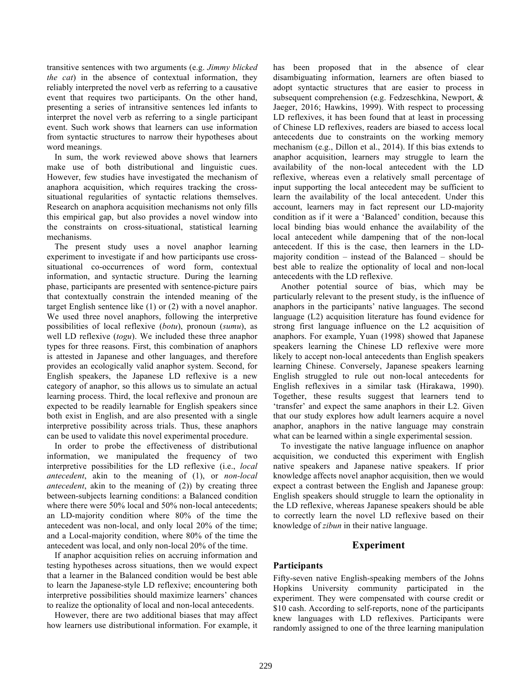transitive sentences with two arguments (e.g. *Jimmy blicked the cat*) in the absence of contextual information, they reliably interpreted the novel verb as referring to a causative event that requires two participants. On the other hand, presenting a series of intransitive sentences led infants to interpret the novel verb as referring to a single participant event. Such work shows that learners can use information from syntactic structures to narrow their hypotheses about word meanings.

In sum, the work reviewed above shows that learners make use of both distributional and linguistic cues. However, few studies have investigated the mechanism of anaphora acquisition, which requires tracking the crosssituational regularities of syntactic relations themselves. Research on anaphora acquisition mechanisms not only fills this empirical gap, but also provides a novel window into the constraints on cross-situational, statistical learning mechanisms.

The present study uses a novel anaphor learning experiment to investigate if and how participants use crosssituational co-occurrences of word form, contextual information, and syntactic structure. During the learning phase, participants are presented with sentence-picture pairs that contextually constrain the intended meaning of the target English sentence like (1) or (2) with a novel anaphor. We used three novel anaphors, following the interpretive possibilities of local reflexive (*botu*), pronoun (*sumu*), as well LD reflexive (*togu*). We included these three anaphor types for three reasons. First, this combination of anaphors is attested in Japanese and other languages, and therefore provides an ecologically valid anaphor system. Second, for English speakers, the Japanese LD reflexive is a new category of anaphor, so this allows us to simulate an actual learning process. Third, the local reflexive and pronoun are expected to be readily learnable for English speakers since both exist in English, and are also presented with a single interpretive possibility across trials. Thus, these anaphors can be used to validate this novel experimental procedure.

In order to probe the effectiveness of distributional information, we manipulated the frequency of two interpretive possibilities for the LD reflexive (i.e., *local antecedent*, akin to the meaning of (1), or *non-local antecedent*, akin to the meaning of (2)) by creating three between-subjects learning conditions: a Balanced condition where there were 50% local and 50% non-local antecedents; an LD-majority condition where 80% of the time the antecedent was non-local, and only local 20% of the time; and a Local-majority condition, where 80% of the time the antecedent was local, and only non-local 20% of the time.

If anaphor acquisition relies on accruing information and testing hypotheses across situations, then we would expect that a learner in the Balanced condition would be best able to learn the Japanese-style LD reflexive; encountering both interpretive possibilities should maximize learners' chances to realize the optionality of local and non-local antecedents.

However, there are two additional biases that may affect how learners use distributional information. For example, it has been proposed that in the absence of clear disambiguating information, learners are often biased to adopt syntactic structures that are easier to process in subsequent comprehension (e.g. Fedzeschkina, Newport, & Jaeger, 2016; Hawkins, 1999). With respect to processing LD reflexives, it has been found that at least in processing of Chinese LD reflexives, readers are biased to access local antecedents due to constraints on the working memory mechanism (e.g., Dillon et al., 2014). If this bias extends to anaphor acquisition, learners may struggle to learn the availability of the non-local antecedent with the LD reflexive, whereas even a relatively small percentage of input supporting the local antecedent may be sufficient to learn the availability of the local antecedent. Under this account, learners may in fact represent our LD-majority condition as if it were a 'Balanced' condition, because this local binding bias would enhance the availability of the local antecedent while dampening that of the non-local antecedent. If this is the case, then learners in the LDmajority condition – instead of the Balanced – should be best able to realize the optionality of local and non-local antecedents with the LD reflexive.

Another potential source of bias, which may be particularly relevant to the present study, is the influence of anaphors in the participants' native languages. The second language (L2) acquisition literature has found evidence for strong first language influence on the L2 acquisition of anaphors. For example, Yuan (1998) showed that Japanese speakers learning the Chinese LD reflexive were more likely to accept non-local antecedents than English speakers learning Chinese. Conversely, Japanese speakers learning English struggled to rule out non-local antecedents for English reflexives in a similar task (Hirakawa, 1990). Together, these results suggest that learners tend to 'transfer' and expect the same anaphors in their L2. Given that our study explores how adult learners acquire a novel anaphor, anaphors in the native language may constrain what can be learned within a single experimental session.

To investigate the native language influence on anaphor acquisition, we conducted this experiment with English native speakers and Japanese native speakers. If prior knowledge affects novel anaphor acquisition, then we would expect a contrast between the English and Japanese group: English speakers should struggle to learn the optionality in the LD reflexive, whereas Japanese speakers should be able to correctly learn the novel LD reflexive based on their knowledge of *zibun* in their native language.

## **Experiment**

## **Participants**

Fifty-seven native English-speaking members of the Johns Hopkins University community participated in the experiment. They were compensated with course credit or \$10 cash. According to self-reports, none of the participants knew languages with LD reflexives. Participants were randomly assigned to one of the three learning manipulation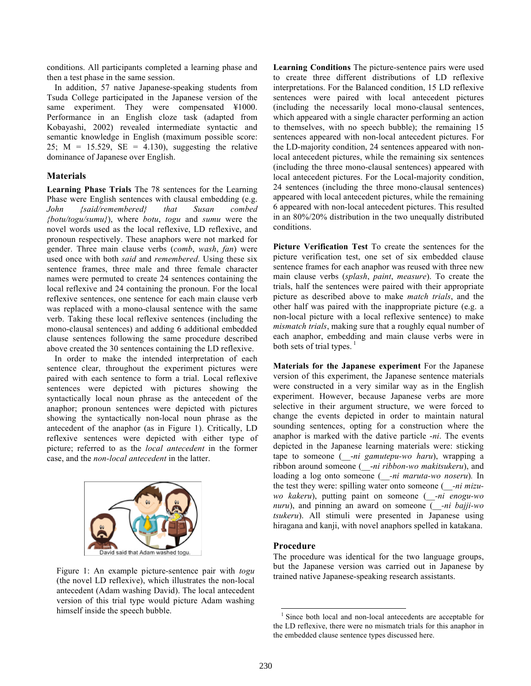conditions. All participants completed a learning phase and then a test phase in the same session.

In addition, 57 native Japanese-speaking students from Tsuda College participated in the Japanese version of the same experiment. They were compensated \\$1000. Performance in an English cloze task (adapted from Kobayashi, 2002) revealed intermediate syntactic and semantic knowledge in English (maximum possible score: 25;  $M = 15.529$ ,  $SE = 4.130$ , suggesting the relative dominance of Japanese over English.

# **Materials**

**Learning Phase Trials** The 78 sentences for the Learning Phase were English sentences with clausal embedding (e.g. *John {said/remembered} that Susan combed {botu/togu/sumu}*), where *botu*, *togu* and *sumu* were the novel words used as the local reflexive, LD reflexive, and pronoun respectively. These anaphors were not marked for gender. Three main clause verbs (*comb*, *wash*, *fan*) were used once with both *said* and *remembered*. Using these six sentence frames, three male and three female character names were permuted to create 24 sentences containing the local reflexive and 24 containing the pronoun. For the local reflexive sentences, one sentence for each main clause verb was replaced with a mono-clausal sentence with the same verb. Taking these local reflexive sentences (including the mono-clausal sentences) and adding 6 additional embedded clause sentences following the same procedure described above created the 30 sentences containing the LD reflexive.

In order to make the intended interpretation of each sentence clear, throughout the experiment pictures were paired with each sentence to form a trial. Local reflexive sentences were depicted with pictures showing the syntactically local noun phrase as the antecedent of the anaphor; pronoun sentences were depicted with pictures showing the syntactically non-local noun phrase as the antecedent of the anaphor (as in Figure 1). Critically, LD reflexive sentences were depicted with either type of picture; referred to as the *local antecedent* in the former case, and the *non-local antecedent* in the latter.



Figure 1: An example picture-sentence pair with *togu* (the novel LD reflexive), which illustrates the non-local antecedent (Adam washing David). The local antecedent version of this trial type would picture Adam washing himself inside the speech bubble.

**Learning Conditions** The picture-sentence pairs were used to create three different distributions of LD reflexive interpretations. For the Balanced condition, 15 LD reflexive sentences were paired with local antecedent pictures (including the necessarily local mono-clausal sentences, which appeared with a single character performing an action to themselves, with no speech bubble); the remaining 15 sentences appeared with non-local antecedent pictures. For the LD-majority condition, 24 sentences appeared with nonlocal antecedent pictures, while the remaining six sentences (including the three mono-clausal sentences) appeared with local antecedent pictures. For the Local-majority condition, 24 sentences (including the three mono-clausal sentences) appeared with local antecedent pictures, while the remaining 6 appeared with non-local antecedent pictures. This resulted in an 80%/20% distribution in the two unequally distributed conditions.

**Picture Verification Test** To create the sentences for the picture verification test, one set of six embedded clause sentence frames for each anaphor was reused with three new main clause verbs (*splash*, *paint*, *measure*). To create the trials, half the sentences were paired with their appropriate picture as described above to make *match trials*, and the other half was paired with the inappropriate picture (e.g. a non-local picture with a local reflexive sentence) to make *mismatch trials*, making sure that a roughly equal number of each anaphor, embedding and main clause verbs were in both sets of trial types. $<sup>1</sup>$ </sup>

**Materials for the Japanese experiment** For the Japanese version of this experiment, the Japanese sentence materials were constructed in a very similar way as in the English experiment. However, because Japanese verbs are more selective in their argument structure, we were forced to change the events depicted in order to maintain natural sounding sentences, opting for a construction where the anaphor is marked with the dative particle -*ni*. The events depicted in the Japanese learning materials were: sticking tape to someone (\_\_-*ni gamutepu-wo haru*), wrapping a ribbon around someone (\_\_-*ni ribbon-wo makitsukeru*), and loading a log onto someone (\_\_*-ni maruta-wo noseru*)*.* In the test they were: spilling water onto someone (*\_\_-ni mizuwo kakeru*), putting paint on someone (*\_\_-ni enogu-wo nuru*), and pinning an award on someone (\_\_*-ni bajji-wo tsukeru*). All stimuli were presented in Japanese using hiragana and kanji, with novel anaphors spelled in katakana.

## **Procedure**

The procedure was identical for the two language groups, but the Japanese version was carried out in Japanese by trained native Japanese-speaking research assistants.

Since both local and non-local antecedents are acceptable for the LD reflexive, there were no mismatch trials for this anaphor in the embedded clause sentence types discussed here.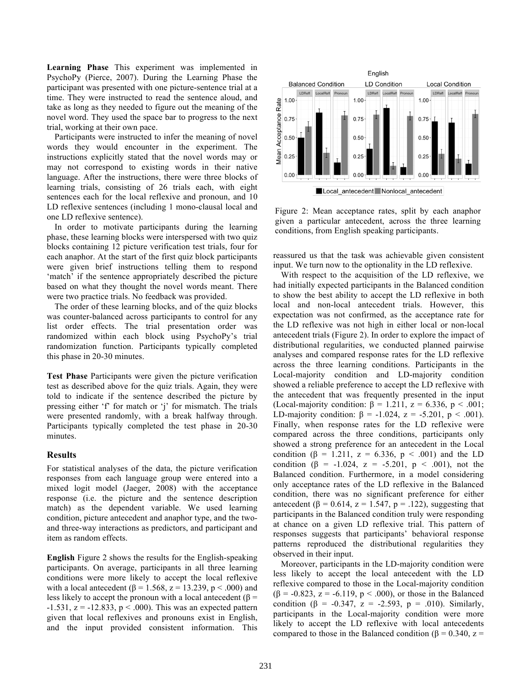**Learning Phase** This experiment was implemented in PsychoPy (Pierce, 2007). During the Learning Phase the participant was presented with one picture-sentence trial at a time. They were instructed to read the sentence aloud, and take as long as they needed to figure out the meaning of the novel word. They used the space bar to progress to the next trial, working at their own pace.

Participants were instructed to infer the meaning of novel words they would encounter in the experiment. The instructions explicitly stated that the novel words may or may not correspond to existing words in their native language. After the instructions, there were three blocks of learning trials, consisting of 26 trials each, with eight sentences each for the local reflexive and pronoun, and 10 LD reflexive sentences (including 1 mono-clausal local and one LD reflexive sentence).

In order to motivate participants during the learning phase, these learning blocks were interspersed with two quiz blocks containing 12 picture verification test trials, four for each anaphor. At the start of the first quiz block participants were given brief instructions telling them to respond 'match' if the sentence appropriately described the picture based on what they thought the novel words meant. There were two practice trials. No feedback was provided.

The order of these learning blocks, and of the quiz blocks was counter-balanced across participants to control for any list order effects. The trial presentation order was randomized within each block using PsychoPy's trial randomization function. Participants typically completed this phase in 20-30 minutes.

**Test Phase** Participants were given the picture verification test as described above for the quiz trials. Again, they were told to indicate if the sentence described the picture by pressing either 'f' for match or 'j' for mismatch. The trials were presented randomly, with a break halfway through. Participants typically completed the test phase in 20-30 minutes.

## **Results**

For statistical analyses of the data, the picture verification responses from each language group were entered into a mixed logit model (Jaeger, 2008) with the acceptance response (i.e. the picture and the sentence description match) as the dependent variable. We used learning condition, picture antecedent and anaphor type, and the twoand three-way interactions as predictors, and participant and item as random effects.

**English** Figure 2 shows the results for the English-speaking participants. On average, participants in all three learning conditions were more likely to accept the local reflexive with a local antecedent ( $\beta$  = 1.568, z = 13.239, p < .000) and less likely to accept the pronoun with a local antecedent ( $\beta$  =  $-1.531$ ,  $z = -12.833$ ,  $p < .000$ ). This was an expected pattern given that local reflexives and pronouns exist in English, and the input provided consistent information. This



Figure 2: Mean acceptance rates, split by each anaphor given a particular antecedent, across the three learning conditions, from English speaking participants.

reassured us that the task was achievable given consistent input. We turn now to the optionality in the LD reflexive.

With respect to the acquisition of the LD reflexive, we had initially expected participants in the Balanced condition to show the best ability to accept the LD reflexive in both local and non-local antecedent trials. However, this expectation was not confirmed, as the acceptance rate for the LD reflexive was not high in either local or non-local antecedent trials (Figure 2). In order to explore the impact of distributional regularities, we conducted planned pairwise analyses and compared response rates for the LD reflexive across the three learning conditions. Participants in the Local-majority condition and LD-majority condition showed a reliable preference to accept the LD reflexive with the antecedent that was frequently presented in the input (Local-majority condition:  $\beta = 1.211$ ,  $z = 6.336$ ,  $p < .001$ ; LD-majority condition:  $β = -1.024$ ,  $z = -5.201$ ,  $p < .001$ ). Finally, when response rates for the LD reflexive were compared across the three conditions, participants only showed a strong preference for an antecedent in the Local condition ( $\beta$  = 1.211, z = 6.336, p < .001) and the LD condition ( $\beta$  = -1.024, z = -5.201, p < .001), not the Balanced condition. Furthermore, in a model considering only acceptance rates of the LD reflexive in the Balanced condition, there was no significant preference for either antecedent ( $\beta$  = 0.614, z = 1.547, p = .122), suggesting that participants in the Balanced condition truly were responding at chance on a given LD reflexive trial. This pattern of responses suggests that participants' behavioral response patterns reproduced the distributional regularities they observed in their input.

Moreover, participants in the LD-majority condition were less likely to accept the local antecedent with the LD reflexive compared to those in the Local-majority condition ( $\beta$  = -0.823, z = -6.119, p < .000), or those in the Balanced condition ( $\beta$  = -0.347, z = -2.593, p = .010). Similarly, participants in the Local-majority condition were more likely to accept the LD reflexive with local antecedents compared to those in the Balanced condition (β = 0.340, z =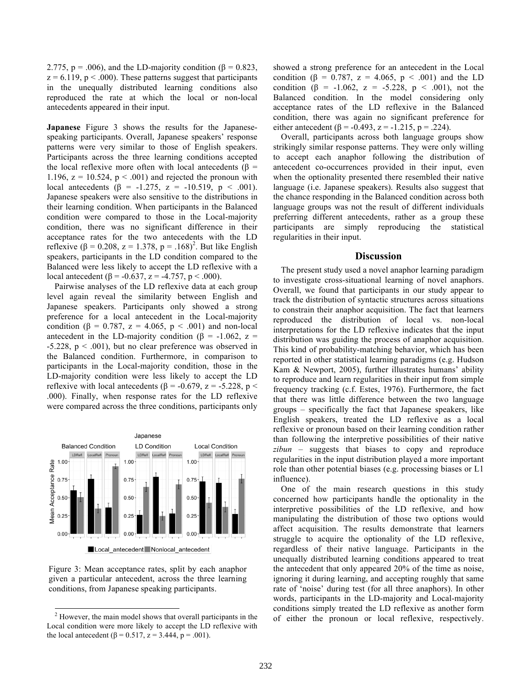2.775, p = .006), and the LD-majority condition ( $\beta$  = 0.823,  $z = 6.119$ ,  $p < .000$ ). These patterns suggest that participants in the unequally distributed learning conditions also reproduced the rate at which the local or non-local antecedents appeared in their input.

**Japanese** Figure 3 shows the results for the Japanesespeaking participants. Overall, Japanese speakers' response patterns were very similar to those of English speakers. Participants across the three learning conditions accepted the local reflexive more often with local antecedents ( $\beta$  = 1.196,  $z = 10.524$ ,  $p < .001$ ) and rejected the pronoun with local antecedents (β = -1.275, z = -10.519, p < .001). Japanese speakers were also sensitive to the distributions in their learning condition. When participants in the Balanced condition were compared to those in the Local-majority condition, there was no significant difference in their acceptance rates for the two antecedents with the LD reflexive (β = 0.208, z = 1.378, p = .168)<sup>2</sup>. But like English speakers, participants in the LD condition compared to the Balanced were less likely to accept the LD reflexive with a local antecedent (β = -0.637, z = -4.757, p < .000).

Pairwise analyses of the LD reflexive data at each group level again reveal the similarity between English and Japanese speakers. Participants only showed a strong preference for a local antecedent in the Local-majority condition (β = 0.787, z = 4.065, p < .001) and non-local antecedent in the LD-majority condition ( $\beta$  = -1.062, z =  $-5.228$ ,  $p < .001$ ), but no clear preference was observed in the Balanced condition. Furthermore, in comparison to participants in the Local-majority condition, those in the LD-majority condition were less likely to accept the LD reflexive with local antecedents (β = -0.679, z = -5.228, p < .000). Finally, when response rates for the LD reflexive were compared across the three conditions, participants only



Figure 3: Mean acceptance rates, split by each anaphor given a particular antecedent, across the three learning conditions, from Japanese speaking participants.

showed a strong preference for an antecedent in the Local condition ( $\beta = 0.787$ ,  $z = 4.065$ ,  $p < .001$ ) and the LD condition ( $\beta$  = -1.062, z = -5.228, p < .001), not the Balanced condition. In the model considering only acceptance rates of the LD reflexive in the Balanced condition, there was again no significant preference for either antecedent ( $\beta$  = -0.493, z = -1.215, p = .224).

Overall, participants across both language groups show strikingly similar response patterns. They were only willing to accept each anaphor following the distribution of antecedent co-occurrences provided in their input, even when the optionality presented there resembled their native language (i.e. Japanese speakers). Results also suggest that the chance responding in the Balanced condition across both language groups was not the result of different individuals preferring different antecedents, rather as a group these participants are simply reproducing the statistical regularities in their input.

#### **Discussion**

The present study used a novel anaphor learning paradigm to investigate cross-situational learning of novel anaphors. Overall, we found that participants in our study appear to track the distribution of syntactic structures across situations to constrain their anaphor acquisition. The fact that learners reproduced the distribution of local vs. non-local interpretations for the LD reflexive indicates that the input distribution was guiding the process of anaphor acquisition. This kind of probability-matching behavior, which has been reported in other statistical learning paradigms (e.g. Hudson Kam & Newport, 2005), further illustrates humans' ability to reproduce and learn regularities in their input from simple frequency tracking (c.f. Estes, 1976). Furthermore, the fact that there was little difference between the two language groups – specifically the fact that Japanese speakers, like English speakers, treated the LD reflexive as a local reflexive or pronoun based on their learning condition rather than following the interpretive possibilities of their native *zibun* – suggests that biases to copy and reproduce regularities in the input distribution played a more important role than other potential biases (e.g. processing biases or L1 influence).

One of the main research questions in this study concerned how participants handle the optionality in the interpretive possibilities of the LD reflexive, and how manipulating the distribution of those two options would affect acquisition. The results demonstrate that learners struggle to acquire the optionality of the LD reflexive, regardless of their native language. Participants in the unequally distributed learning conditions appeared to treat the antecedent that only appeared 20% of the time as noise, ignoring it during learning, and accepting roughly that same rate of 'noise' during test (for all three anaphors). In other words, participants in the LD-majority and Local-majority conditions simply treated the LD reflexive as another form of either the pronoun or local reflexive, respectively.

 <sup>2</sup> However, the main model shows that overall participants in the Local condition were more likely to accept the LD reflexive with the local antecedent ( $\beta = 0.517$ ,  $z = 3.444$ ,  $p = .001$ ).